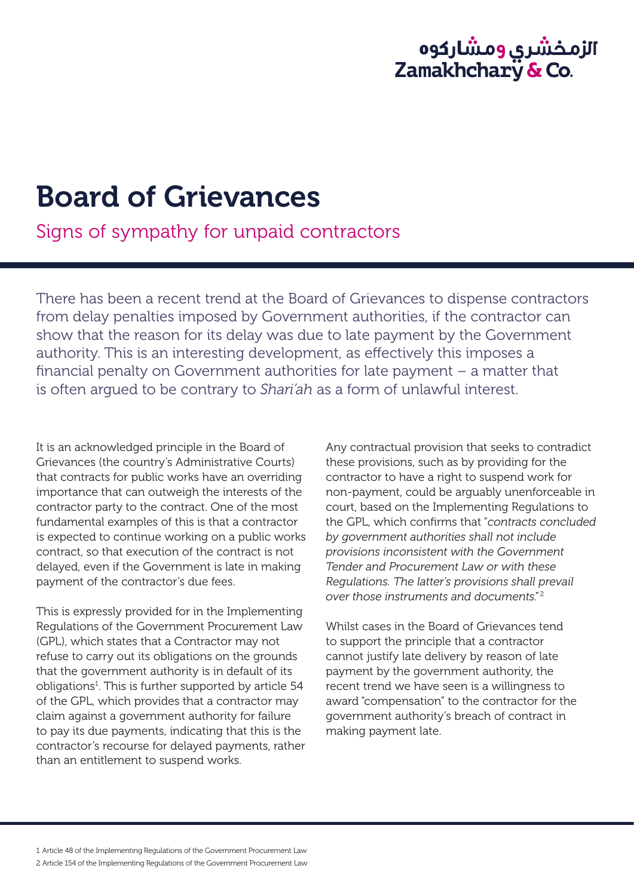## الزمـخشري ومشاركوه<br>Zamakhchary **&** Co.

## Board of Grievances

Signs of sympathy for unpaid contractors

There has been a recent trend at the Board of Grievances to dispense contractors from delay penalties imposed by Government authorities, if the contractor can show that the reason for its delay was due to late payment by the Government authority. This is an interesting development, as effectively this imposes a financial penalty on Government authorities for late payment – a matter that is often argued to be contrary to *Shari'ah* as a form of unlawful interest.

It is an acknowledged principle in the Board of Grievances (the country's Administrative Courts) that contracts for public works have an overriding importance that can outweigh the interests of the contractor party to the contract. One of the most fundamental examples of this is that a contractor is expected to continue working on a public works contract, so that execution of the contract is not delayed, even if the Government is late in making payment of the contractor's due fees.

This is expressly provided for in the Implementing Regulations of the Government Procurement Law (GPL), which states that a Contractor may not refuse to carry out its obligations on the grounds that the government authority is in default of its obligations<sup>1</sup>. This is further supported by article 54 of the GPL, which provides that a contractor may claim against a government authority for failure to pay its due payments, indicating that this is the contractor's recourse for delayed payments, rather than an entitlement to suspend works.

Any contractual provision that seeks to contradict these provisions, such as by providing for the contractor to have a right to suspend work for non-payment, could be arguably unenforceable in court, based on the Implementing Regulations to the GPL, which confirms that "*contracts concluded by government authorities shall not include provisions inconsistent with the Government Tender and Procurement Law or with these Regulations. The latter's provisions shall prevail over those instruments and documents.*" 2

Whilst cases in the Board of Grievances tend to support the principle that a contractor cannot justify late delivery by reason of late payment by the government authority, the recent trend we have seen is a willingness to award "compensation" to the contractor for the government authority's breach of contract in making payment late.